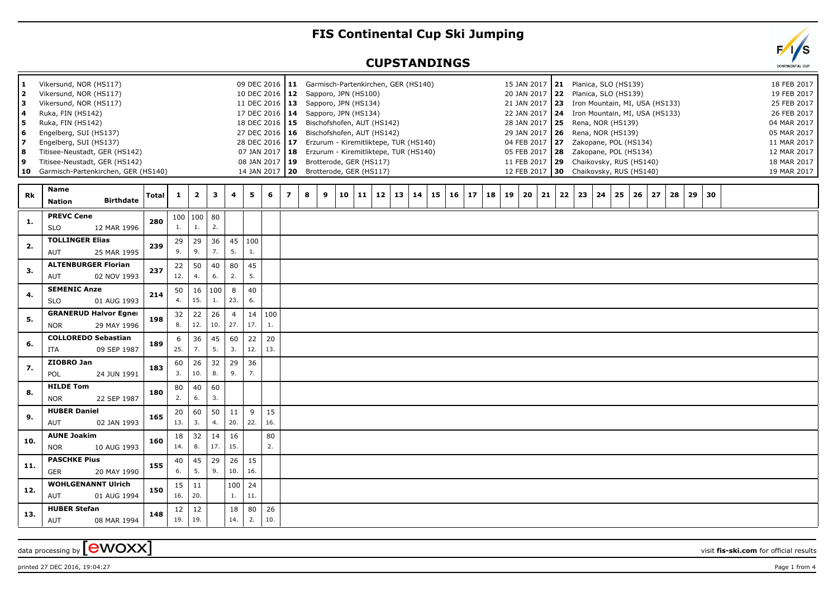## **FIS Continental Cup Ski Jumping**

## **CUPSTANDINGS**

| 1<br>$\overline{\mathbf{2}}$<br>з<br>4<br>5<br>6<br>8<br>9 | Vikersund, NOR (HS117)<br>Vikersund, NOR (HS117)<br>Vikersund, NOR (HS117)<br>Ruka, FIN (HS142)<br>Ruka, FIN (HS142)<br>Engelberg, SUI (HS137)<br>Engelberg, SUI (HS137)<br>Titisee-Neustadt, GER (HS142)<br>Titisee-Neustadt, GER (HS142)<br>10 Garmisch-Partenkirchen, GER (HS140) |       |              |                           |           |                       | 09 DEC 2016<br>10 DEC 2016<br>28 DEC 2016<br>07 JAN 2017<br>08 JAN 2017<br>14 JAN 2017 |           | 17 DEC 2016 14<br>18 DEC 2016 15<br>27 DEC 2016   16<br>$ 18\rangle$<br>  19 | 11 Garmisch-Partenkirchen, GER (HS140)<br>12 Sapporo, JPN (HS100)<br>11 DEC 2016   13 Sapporo, JPN (HS134)<br>Sapporo, JPN (HS134)<br>Bischofshofen, AUT (HS142)<br>Bischofshofen, AUT (HS142)<br>17 Erzurum - Kiremitliktepe, TUR (HS140)<br>Erzurum - Kiremitliktepe, TUR (HS140)<br>Brotterode, GER (HS117)<br>20 Brotterode, GER (HS117) |    |          |    |          |          |    | 15 JAN 2017 21<br>20 JAN 2017 22 Planica, SLO (HS139)<br>21 JAN 2017 23 Iron Mountain, MI, USA (HS133)<br>22 JAN 2017 24 Iron Mountain, MI, USA (HS133)<br>28 JAN 2017   25 Rena, NOR (HS139)<br>29 JAN 2017   26 Rena, NOR (HS139)<br>04 FEB 2017 27<br>05 FEB 2017   28<br>11 FEB 2017   29<br>12 FEB 2017 |    |    |    | Planica, SLO (HS139)<br>Zakopane, POL (HS134)<br>Zakopane, POL (HS134) | Chaikovsky, RUS (HS140)<br>30 Chaikovsky, RUS (HS140) |    |    |    |  | 19 FEB 2017<br>25 FEB 2017<br>26 FEB 2017<br>04 MAR 2017<br>05 MAR 2017<br>11 MAR 2017<br>12 MAR 2017<br>18 MAR 2017<br>19 MAR 2017 | 18 FEB 2017 |
|------------------------------------------------------------|--------------------------------------------------------------------------------------------------------------------------------------------------------------------------------------------------------------------------------------------------------------------------------------|-------|--------------|---------------------------|-----------|-----------------------|----------------------------------------------------------------------------------------|-----------|------------------------------------------------------------------------------|----------------------------------------------------------------------------------------------------------------------------------------------------------------------------------------------------------------------------------------------------------------------------------------------------------------------------------------------|----|----------|----|----------|----------|----|--------------------------------------------------------------------------------------------------------------------------------------------------------------------------------------------------------------------------------------------------------------------------------------------------------------|----|----|----|------------------------------------------------------------------------|-------------------------------------------------------|----|----|----|--|-------------------------------------------------------------------------------------------------------------------------------------|-------------|
| Rk                                                         | <b>Name</b><br><b>Birthdate</b><br><b>Nation</b>                                                                                                                                                                                                                                     | Total | $\mathbf{1}$ | $\overline{\mathbf{2}}$   | 3         | 4                     | 5                                                                                      | 6         | $\overline{\phantom{a}}$                                                     | 8<br>9<br>10                                                                                                                                                                                                                                                                                                                                 | 11 | 12<br>13 | 14 | 15<br>16 | 17<br>18 | 19 | 20<br>21                                                                                                                                                                                                                                                                                                     | 22 | 23 | 24 | 25                                                                     | 26<br>27                                              | 28 | 29 | 30 |  |                                                                                                                                     |             |
| 1.                                                         | <b>PREVC Cene</b><br><b>SLO</b><br>12 MAR 1996                                                                                                                                                                                                                                       | 280   | 100<br>1.    | $\vert$ 100 $\vert$<br>1. | 80<br>2.  |                       |                                                                                        |           |                                                                              |                                                                                                                                                                                                                                                                                                                                              |    |          |    |          |          |    |                                                                                                                                                                                                                                                                                                              |    |    |    |                                                                        |                                                       |    |    |    |  |                                                                                                                                     |             |
| 2.                                                         | <b>TOLLINGER Elias</b><br>AUT<br>25 MAR 1995                                                                                                                                                                                                                                         | 239   | 29<br>9.     | 29<br>9.                  | 36<br>7.  | 45<br>5.              | 100<br>1.                                                                              |           |                                                                              |                                                                                                                                                                                                                                                                                                                                              |    |          |    |          |          |    |                                                                                                                                                                                                                                                                                                              |    |    |    |                                                                        |                                                       |    |    |    |  |                                                                                                                                     |             |
| 3.                                                         | <b>ALTENBURGER Florian</b><br>AUT<br>02 NOV 1993                                                                                                                                                                                                                                     | 237   | 22<br>12.    | 50<br>4.                  | 40<br>6.  | 80<br>2.              | 45<br>5.                                                                               |           |                                                                              |                                                                                                                                                                                                                                                                                                                                              |    |          |    |          |          |    |                                                                                                                                                                                                                                                                                                              |    |    |    |                                                                        |                                                       |    |    |    |  |                                                                                                                                     |             |
| 4.                                                         | <b>SEMENIC Anze</b><br><b>SLO</b><br>01 AUG 1993                                                                                                                                                                                                                                     | 214   | 50<br>4.     | 16<br>15.                 | 100<br>1. | 8<br>23.              | 40<br>6.                                                                               |           |                                                                              |                                                                                                                                                                                                                                                                                                                                              |    |          |    |          |          |    |                                                                                                                                                                                                                                                                                                              |    |    |    |                                                                        |                                                       |    |    |    |  |                                                                                                                                     |             |
| 5.                                                         | <b>GRANERUD Halvor Egner</b><br><b>NOR</b><br>29 MAY 1996                                                                                                                                                                                                                            | 198   | 32<br>8.     | 22<br>12.                 | 26<br>10. | $\overline{4}$<br>27. | 14<br>17.                                                                              | 100<br>1. |                                                                              |                                                                                                                                                                                                                                                                                                                                              |    |          |    |          |          |    |                                                                                                                                                                                                                                                                                                              |    |    |    |                                                                        |                                                       |    |    |    |  |                                                                                                                                     |             |
| 6.                                                         | <b>COLLOREDO Sebastian</b><br>09 SEP 1987<br>ITA                                                                                                                                                                                                                                     | 189   | 6<br>25.     | 36<br>7.                  | 45<br>5.  | 60<br>3.              | 22<br>12.                                                                              | 20<br>13. |                                                                              |                                                                                                                                                                                                                                                                                                                                              |    |          |    |          |          |    |                                                                                                                                                                                                                                                                                                              |    |    |    |                                                                        |                                                       |    |    |    |  |                                                                                                                                     |             |
| 7.                                                         | ZIOBRO Jan<br>POL<br>24 JUN 1991                                                                                                                                                                                                                                                     | 183   | 60<br>3.     | 26<br>10.                 | 32<br>8.  | 29<br>9.              | 36<br>7.                                                                               |           |                                                                              |                                                                                                                                                                                                                                                                                                                                              |    |          |    |          |          |    |                                                                                                                                                                                                                                                                                                              |    |    |    |                                                                        |                                                       |    |    |    |  |                                                                                                                                     |             |
| 8.                                                         | <b>HILDE Tom</b><br><b>NOR</b><br>22 SEP 1987                                                                                                                                                                                                                                        | 180   | 80<br>2.     | 40<br>6.                  | 60<br>3.  |                       |                                                                                        |           |                                                                              |                                                                                                                                                                                                                                                                                                                                              |    |          |    |          |          |    |                                                                                                                                                                                                                                                                                                              |    |    |    |                                                                        |                                                       |    |    |    |  |                                                                                                                                     |             |
| 9.                                                         | <b>HUBER Daniel</b><br>02 JAN 1993<br><b>AUT</b>                                                                                                                                                                                                                                     | 165   | 20<br>13.    | 60<br>3.                  | 50<br>4.  | 11<br>20.             | 9<br>22.                                                                               | 15<br>16. |                                                                              |                                                                                                                                                                                                                                                                                                                                              |    |          |    |          |          |    |                                                                                                                                                                                                                                                                                                              |    |    |    |                                                                        |                                                       |    |    |    |  |                                                                                                                                     |             |
| 10.                                                        | <b>AUNE Joakim</b><br><b>NOR</b><br>10 AUG 1993                                                                                                                                                                                                                                      | 160   | 18<br>14.    | 32<br>8.                  | 14<br>17. | 16<br>15.             |                                                                                        | 80<br>2.  |                                                                              |                                                                                                                                                                                                                                                                                                                                              |    |          |    |          |          |    |                                                                                                                                                                                                                                                                                                              |    |    |    |                                                                        |                                                       |    |    |    |  |                                                                                                                                     |             |
| 11.                                                        | <b>PASCHKE Pius</b><br><b>GER</b><br>20 MAY 1990                                                                                                                                                                                                                                     | 155   | 40<br>6.     | 45<br>5.                  | 29<br>9.  | 26<br>10.             | 15<br>16.                                                                              |           |                                                                              |                                                                                                                                                                                                                                                                                                                                              |    |          |    |          |          |    |                                                                                                                                                                                                                                                                                                              |    |    |    |                                                                        |                                                       |    |    |    |  |                                                                                                                                     |             |
| 12.                                                        | <b>WOHLGENANNT Ulrich</b><br>AUT<br>01 AUG 1994                                                                                                                                                                                                                                      | 150   | 15<br>16.    | 11<br>20.                 |           | 100<br>1.             | 24<br>11.                                                                              |           |                                                                              |                                                                                                                                                                                                                                                                                                                                              |    |          |    |          |          |    |                                                                                                                                                                                                                                                                                                              |    |    |    |                                                                        |                                                       |    |    |    |  |                                                                                                                                     |             |
| 13.                                                        | <b>HUBER Stefan</b><br><b>AUT</b><br>08 MAR 1994                                                                                                                                                                                                                                     | 148   | 12<br>19.    | 12<br>19.                 |           | 18<br>14.             | 80<br>2.                                                                               | 26<br>10. |                                                                              |                                                                                                                                                                                                                                                                                                                                              |    |          |    |          |          |    |                                                                                                                                                                                                                                                                                                              |    |    |    |                                                                        |                                                       |    |    |    |  |                                                                                                                                     |             |
|                                                            |                                                                                                                                                                                                                                                                                      |       |              |                           |           |                       |                                                                                        |           |                                                                              |                                                                                                                                                                                                                                                                                                                                              |    |          |    |          |          |    |                                                                                                                                                                                                                                                                                                              |    |    |    |                                                                        |                                                       |    |    |    |  |                                                                                                                                     |             |

data processing by **CWOXX** wisit **fis-ski.com** for official results

printed 27 DEC 2016, 19:04:27 **Page 1** from 4

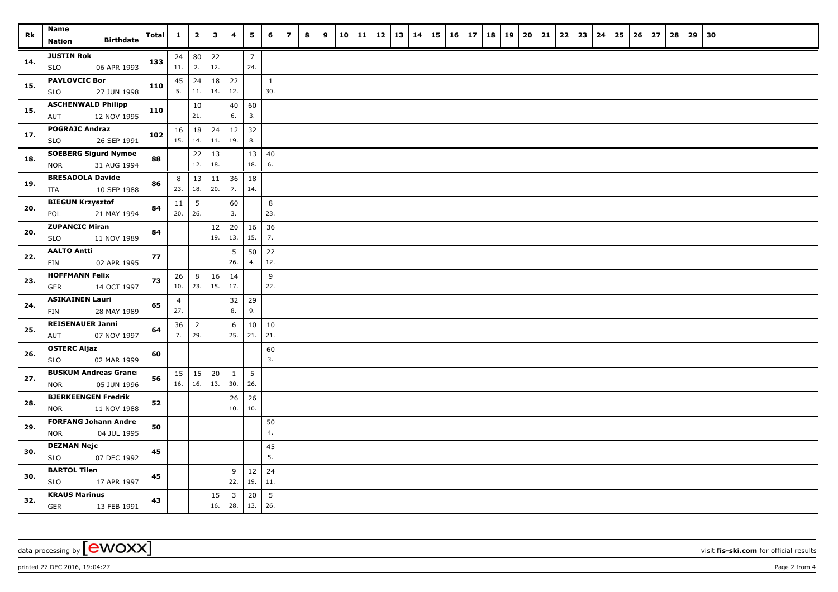| <b>Rk</b> | Name<br><b>Birthdate</b><br><b>Nation</b>                 | <b>Total</b> | $\mathbf{1}$          | $\overline{2}$        | $\overline{\mathbf{3}}$ | $\overline{\mathbf{4}}$        | 5                     | 6                   | $\overline{z}$ | 8 | 9 | 10 | $11 \mid 12$ | 13 | $\vert$ 14 | $15 \mid 16 \mid 17$ | 18 | 19 | 20 | 21 | $22 \mid 23$ | 24 | 25 | 26 | 27 | 28 | 29 | 30 |  |  |
|-----------|-----------------------------------------------------------|--------------|-----------------------|-----------------------|-------------------------|--------------------------------|-----------------------|---------------------|----------------|---|---|----|--------------|----|------------|----------------------|----|----|----|----|--------------|----|----|----|----|----|----|----|--|--|
| 14.       | <b>JUSTIN Rok</b><br>06 APR 1993<br><b>SLO</b>            | 133          | 24<br>11.             | 80<br>2.              | 22<br>12.               |                                | $\overline{7}$<br>24. |                     |                |   |   |    |              |    |            |                      |    |    |    |    |              |    |    |    |    |    |    |    |  |  |
| 15.       | <b>PAVLOVCIC Bor</b><br><b>SLO</b><br>27 JUN 1998         | 110          | 45<br>5.              | 24<br>11.             | 18<br>14.               | 22<br>12.                      |                       | $\mathbf{1}$<br>30. |                |   |   |    |              |    |            |                      |    |    |    |    |              |    |    |    |    |    |    |    |  |  |
| 15.       | <b>ASCHENWALD Philipp</b><br>12 NOV 1995<br>AUT           | 110          |                       | 10<br>21.             |                         | 40<br>6.                       | 60<br>3.              |                     |                |   |   |    |              |    |            |                      |    |    |    |    |              |    |    |    |    |    |    |    |  |  |
| 17.       | <b>POGRAJC Andraz</b><br><b>SLO</b><br>26 SEP 1991        | 102          | 16<br>15.             | 18<br>14.             | 24<br>11.               | 12<br>19.                      | 32<br>8.              |                     |                |   |   |    |              |    |            |                      |    |    |    |    |              |    |    |    |    |    |    |    |  |  |
| 18.       | <b>SOEBERG Sigurd Nymoel</b><br>31 AUG 1994<br><b>NOR</b> | 88           |                       | 22<br>12.             | 13<br>18.               |                                | 13<br>18.             | 40<br>6.            |                |   |   |    |              |    |            |                      |    |    |    |    |              |    |    |    |    |    |    |    |  |  |
| 19.       | <b>BRESADOLA Davide</b><br>10 SEP 1988<br>ITA             | 86           | 8<br>23.              | 13<br>18.             | 11<br>20.               | 36<br>7.                       | 18<br>14.             |                     |                |   |   |    |              |    |            |                      |    |    |    |    |              |    |    |    |    |    |    |    |  |  |
| 20.       | <b>BIEGUN Krzysztof</b><br>21 MAY 1994<br>POL             | 84           | 11<br>20.             | $\overline{5}$<br>26. |                         | 60<br>3.                       |                       | 8<br>23.            |                |   |   |    |              |    |            |                      |    |    |    |    |              |    |    |    |    |    |    |    |  |  |
| 20.       | <b>ZUPANCIC Miran</b><br><b>SLO</b><br>11 NOV 1989        | 84           |                       |                       | 12<br>19.               | 20<br>13.                      | 16<br>15.             | 36<br>7.            |                |   |   |    |              |    |            |                      |    |    |    |    |              |    |    |    |    |    |    |    |  |  |
| 22.       | <b>AALTO Antti</b><br><b>FIN</b><br>02 APR 1995           | 77           |                       |                       |                         | 5<br>26.                       | 50<br>4.              | 22<br>12.           |                |   |   |    |              |    |            |                      |    |    |    |    |              |    |    |    |    |    |    |    |  |  |
| 23.       | <b>HOFFMANN Felix</b><br>14 OCT 1997<br>GER               | 73           | 26<br>10.             | 8<br>23.              | 16<br>15.               | 14<br>17.                      |                       | 9<br>22.            |                |   |   |    |              |    |            |                      |    |    |    |    |              |    |    |    |    |    |    |    |  |  |
| 24.       | <b>ASIKAINEN Lauri</b><br>28 MAY 1989<br>FIN              | 65           | $\overline{4}$<br>27. |                       |                         | 32<br>8.                       | 29<br>9.              |                     |                |   |   |    |              |    |            |                      |    |    |    |    |              |    |    |    |    |    |    |    |  |  |
| 25.       | <b>REISENAUER Janni</b><br>07 NOV 1997<br>AUT             | 64           | 36<br>7.              | $\overline{2}$<br>29. |                         | 6<br>25.                       | 10<br>21.             | 10<br>21.           |                |   |   |    |              |    |            |                      |    |    |    |    |              |    |    |    |    |    |    |    |  |  |
| 26.       | <b>OSTERC Aljaz</b><br>02 MAR 1999<br><b>SLO</b>          | 60           |                       |                       |                         |                                |                       | 60<br>3.            |                |   |   |    |              |    |            |                      |    |    |    |    |              |    |    |    |    |    |    |    |  |  |
| 27.       | <b>BUSKUM Andreas Graner</b><br>05 JUN 1996<br><b>NOR</b> | 56           | 15<br>16.             | 15<br>16.             | 20<br>13.               | $\mathbf{1}$<br>30.            | $5\phantom{a}$<br>26. |                     |                |   |   |    |              |    |            |                      |    |    |    |    |              |    |    |    |    |    |    |    |  |  |
| 28.       | <b>BJERKEENGEN Fredrik</b><br>11 NOV 1988<br><b>NOR</b>   | 52           |                       |                       |                         | 26<br>10.                      | 26<br>10.             |                     |                |   |   |    |              |    |            |                      |    |    |    |    |              |    |    |    |    |    |    |    |  |  |
| 29.       | <b>FORFANG Johann Andre</b><br><b>NOR</b><br>04 JUL 1995  | 50           |                       |                       |                         |                                |                       | 50<br>4.            |                |   |   |    |              |    |            |                      |    |    |    |    |              |    |    |    |    |    |    |    |  |  |
| 30.       | <b>DEZMAN Nejc</b><br><b>SLO</b><br>07 DEC 1992           | 45           |                       |                       |                         |                                |                       | 45<br>5.            |                |   |   |    |              |    |            |                      |    |    |    |    |              |    |    |    |    |    |    |    |  |  |
| 30.       | <b>BARTOL Tilen</b><br><b>SLO</b><br>17 APR 1997          | 45           |                       |                       |                         | 9<br>22.                       | $12\,$<br>19.         | 24<br>11.           |                |   |   |    |              |    |            |                      |    |    |    |    |              |    |    |    |    |    |    |    |  |  |
| 32.       | <b>KRAUS Marinus</b><br><b>GER</b><br>13 FEB 1991         | 43           |                       |                       | 15<br>16.               | $\overline{\mathbf{3}}$<br>28. | 20<br>13.             | 5<br>26.            |                |   |   |    |              |    |            |                      |    |    |    |    |              |    |    |    |    |    |    |    |  |  |

printed 27 DEC 2016, 19:04:27 **Page 2** from 4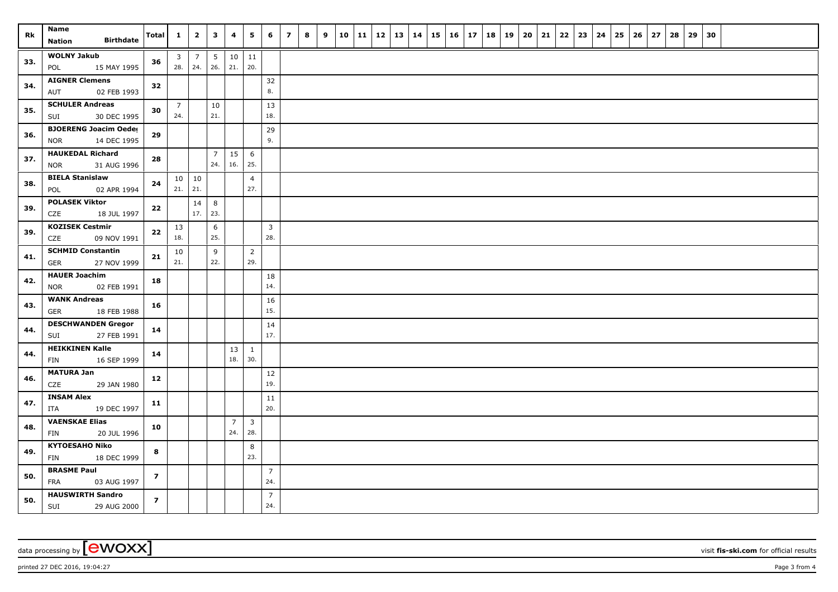| Rk  | Name<br><b>Birthdate</b><br><b>Nation</b>                 | Total          | $\mathbf{1}$              | $\overline{2}$        | $\mathbf{3}$           | 4                     | 5                              | 6                     | $\overline{z}$ | 8 | 9 | 10 | 11 | 12 | 13 | 14 | $15 \mid 16 \mid 17$ | 18 | 19 | 20 | 21 | $22 \mid 23$ | 24 | 25 | 26 | 27 | 28 | 29 | 30 |  |  |
|-----|-----------------------------------------------------------|----------------|---------------------------|-----------------------|------------------------|-----------------------|--------------------------------|-----------------------|----------------|---|---|----|----|----|----|----|----------------------|----|----|----|----|--------------|----|----|----|----|----|----|----|--|--|
| 33. | <b>WOLNY Jakub</b><br>15 MAY 1995<br>POL                  | 36             | $\overline{3}$<br>28.     | $\overline{7}$<br>24. | $5\phantom{.0}$<br>26. | 21.                   | $10 \mid 11$<br>20.            |                       |                |   |   |    |    |    |    |    |                      |    |    |    |    |              |    |    |    |    |    |    |    |  |  |
| 34. | <b>AIGNER Clemens</b><br>02 FEB 1993<br>AUT               | 32             |                           |                       |                        |                       |                                | 32<br>8.              |                |   |   |    |    |    |    |    |                      |    |    |    |    |              |    |    |    |    |    |    |    |  |  |
| 35. | <b>SCHULER Andreas</b><br>SUI<br>30 DEC 1995              | 30             | $\overline{7}$<br>24.     |                       | 10<br>21.              |                       |                                | 13<br>18.             |                |   |   |    |    |    |    |    |                      |    |    |    |    |              |    |    |    |    |    |    |    |  |  |
| 36. | <b>BJOERENG Joacim Oeder</b><br><b>NOR</b><br>14 DEC 1995 | 29             |                           |                       |                        |                       |                                | 29<br>9.              |                |   |   |    |    |    |    |    |                      |    |    |    |    |              |    |    |    |    |    |    |    |  |  |
| 37. | <b>HAUKEDAL Richard</b><br><b>NOR</b><br>31 AUG 1996      | 28             |                           |                       | $\overline{7}$<br>24.  | 15<br>16.             | 6<br>25.                       |                       |                |   |   |    |    |    |    |    |                      |    |    |    |    |              |    |    |    |    |    |    |    |  |  |
| 38. | <b>BIELA Stanislaw</b><br>02 APR 1994<br>POL              | 24             | $10 \mid 10$<br>21.   21. |                       |                        |                       | $\overline{4}$<br>27.          |                       |                |   |   |    |    |    |    |    |                      |    |    |    |    |              |    |    |    |    |    |    |    |  |  |
| 39. | <b>POLASEK Viktor</b><br>CZE<br>18 JUL 1997               | 22             |                           | 14<br>17.             | 8<br>23.               |                       |                                |                       |                |   |   |    |    |    |    |    |                      |    |    |    |    |              |    |    |    |    |    |    |    |  |  |
| 39. | <b>KOZISEK Cestmir</b><br>CZE<br>09 NOV 1991              | 22             | 13<br>18.                 |                       | 6<br>25.               |                       |                                | $\overline{3}$<br>28. |                |   |   |    |    |    |    |    |                      |    |    |    |    |              |    |    |    |    |    |    |    |  |  |
| 41. | <b>SCHMID Constantin</b><br><b>GER</b><br>27 NOV 1999     | 21             | 10<br>21.                 |                       | 9<br>22.               |                       | $\overline{2}$<br>29.          |                       |                |   |   |    |    |    |    |    |                      |    |    |    |    |              |    |    |    |    |    |    |    |  |  |
| 42. | <b>HAUER Joachim</b><br>02 FEB 1991<br><b>NOR</b>         | 18             |                           |                       |                        |                       |                                | 18<br>14.             |                |   |   |    |    |    |    |    |                      |    |    |    |    |              |    |    |    |    |    |    |    |  |  |
| 43. | <b>WANK Andreas</b><br><b>GER</b><br>18 FEB 1988          | 16             |                           |                       |                        |                       |                                | 16<br>15.             |                |   |   |    |    |    |    |    |                      |    |    |    |    |              |    |    |    |    |    |    |    |  |  |
| 44. | <b>DESCHWANDEN Gregor</b><br>27 FEB 1991<br>SUI           | 14             |                           |                       |                        |                       |                                | 14<br>17.             |                |   |   |    |    |    |    |    |                      |    |    |    |    |              |    |    |    |    |    |    |    |  |  |
| 44. | <b>HEIKKINEN Kalle</b><br>16 SEP 1999<br>FIN              | 14             |                           |                       |                        | 13<br>18.             | $\mathbf{1}$<br>30.            |                       |                |   |   |    |    |    |    |    |                      |    |    |    |    |              |    |    |    |    |    |    |    |  |  |
| 46. | <b>MATURA Jan</b><br>29 JAN 1980<br>CZE                   | 12             |                           |                       |                        |                       |                                | $12\,$<br>19.         |                |   |   |    |    |    |    |    |                      |    |    |    |    |              |    |    |    |    |    |    |    |  |  |
| 47. | <b>INSAM Alex</b><br>19 DEC 1997<br>ITA                   | 11             |                           |                       |                        |                       |                                | 11<br>20.             |                |   |   |    |    |    |    |    |                      |    |    |    |    |              |    |    |    |    |    |    |    |  |  |
| 48. | <b>VAENSKAE Elias</b><br><b>FIN</b><br>20 JUL 1996        | 10             |                           |                       |                        | $\overline{7}$<br>24. | $\overline{\mathbf{3}}$<br>28. |                       |                |   |   |    |    |    |    |    |                      |    |    |    |    |              |    |    |    |    |    |    |    |  |  |
| 49. | <b>KYTOESAHO Niko</b><br>FIN<br>18 DEC 1999               | 8              |                           |                       |                        |                       | 8<br>23.                       |                       |                |   |   |    |    |    |    |    |                      |    |    |    |    |              |    |    |    |    |    |    |    |  |  |
| 50. | <b>BRASME Paul</b><br>FRA<br>03 AUG 1997                  | $\overline{z}$ |                           |                       |                        |                       |                                | $\overline{7}$<br>24. |                |   |   |    |    |    |    |    |                      |    |    |    |    |              |    |    |    |    |    |    |    |  |  |
| 50. | <b>HAUSWIRTH Sandro</b><br>SUI<br>29 AUG 2000             | $\overline{7}$ |                           |                       |                        |                       |                                | $\overline{7}$<br>24. |                |   |   |    |    |    |    |    |                      |    |    |    |    |              |    |    |    |    |    |    |    |  |  |

data processing by **CWOXX** visit **fis-ski.com** for official results

printed 27 DEC 2016, 19:04:27 **Page 3** from 4